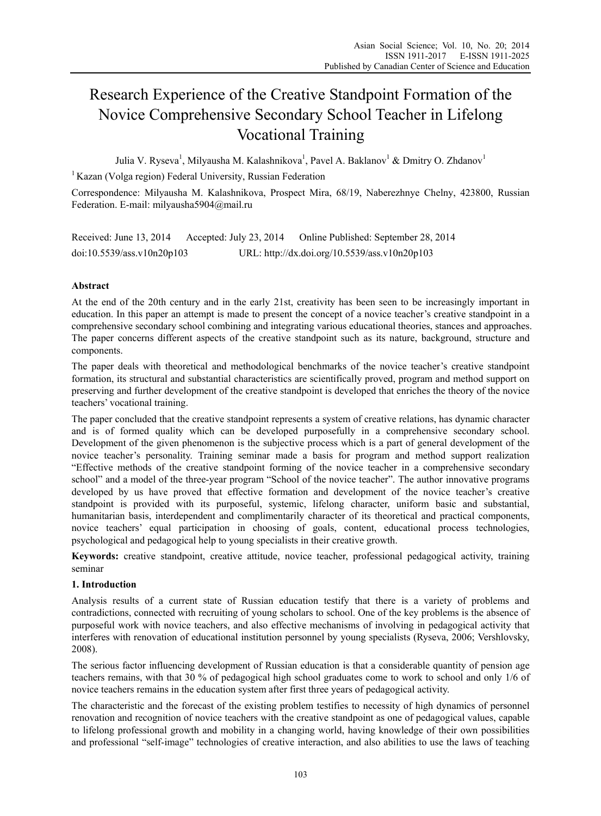# Research Experience of the Creative Standpoint Formation of the Novice Comprehensive Secondary School Teacher in Lifelong Vocational Training

Julia V. Ryseva<sup>1</sup>, Milyausha M. Kalashnikova<sup>1</sup>, Pavel A. Baklanov<sup>1</sup> & Dmitry O. Zhdanov<sup>1</sup>

<sup>1</sup> Kazan (Volga region) Federal University, Russian Federation

Correspondence: Milyausha M. Kalashnikova, Prospect Mira, 68/19, Naberezhnye Chelny, 423800, Russian Federation. E-mail: milyausha5904@mail.ru

Received: June 13, 2014 Accepted: July 23, 2014 Online Published: September 28, 2014 doi:10.5539/ass.v10n20p103 URL: http://dx.doi.org/10.5539/ass.v10n20p103

# **Abstract**

At the end of the 20th century and in the early 21st, creativity has been seen to be increasingly important in education. In this paper an attempt is made to present the concept of a novice teacher's creative standpoint in a comprehensive secondary school combining and integrating various educational theories, stances and approaches. The paper concerns different aspects of the creative standpoint such as its nature, background, structure and components.

The paper deals with theoretical and methodological benchmarks of the novice teacher's creative standpoint formation, its structural and substantial characteristics are scientifically proved, program and method support on preserving and further development of the creative standpoint is developed that enriches the theory of the novice teachers' vocational training.

The paper concluded that the creative standpoint represents a system of creative relations, has dynamic character and is of formed quality which can be developed purposefully in a comprehensive secondary school. Development of the given phenomenon is the subjective process which is a part of general development of the novice teacher's personality. Training seminar made a basis for program and method support realization "Effective methods of the creative standpoint forming of the novice teacher in a comprehensive secondary school" and a model of the three-year program "School of the novice teacher". The author innovative programs developed by us have proved that effective formation and development of the novice teacher's creative standpoint is provided with its purposeful, systemic, lifelong character, uniform basic and substantial, humanitarian basis, interdependent and complimentarily character of its theoretical and practical components, novice teachers' equal participation in choosing of goals, content, educational process technologies, psychological and pedagogical help to young specialists in their creative growth.

**Keywords:** creative standpoint, creative attitude, novice teacher, professional pedagogical activity, training seminar

## **1. Introduction**

Analysis results of a current state of Russian education testify that there is a variety of problems and contradictions, connected with recruiting of young scholars to school. One of the key problems is the absence of purposeful work with novice teachers, and also effective mechanisms of involving in pedagogical activity that interferes with renovation of educational institution personnel by young specialists (Ryseva, 2006; Vershlovsky, 2008).

The serious factor influencing development of Russian education is that a considerable quantity of pension age teachers remains, with that 30 % of pedagogical high school graduates come to work to school and only 1/6 of novice teachers remains in the education system after first three years of pedagogical activity.

The characteristic and the forecast of the existing problem testifies to necessity of high dynamics of personnel renovation and recognition of novice teachers with the creative standpoint as one of pedagogical values, capable to lifelong professional growth and mobility in a changing world, having knowledge of their own possibilities and professional "self-image" technologies of creative interaction, and also abilities to use the laws of teaching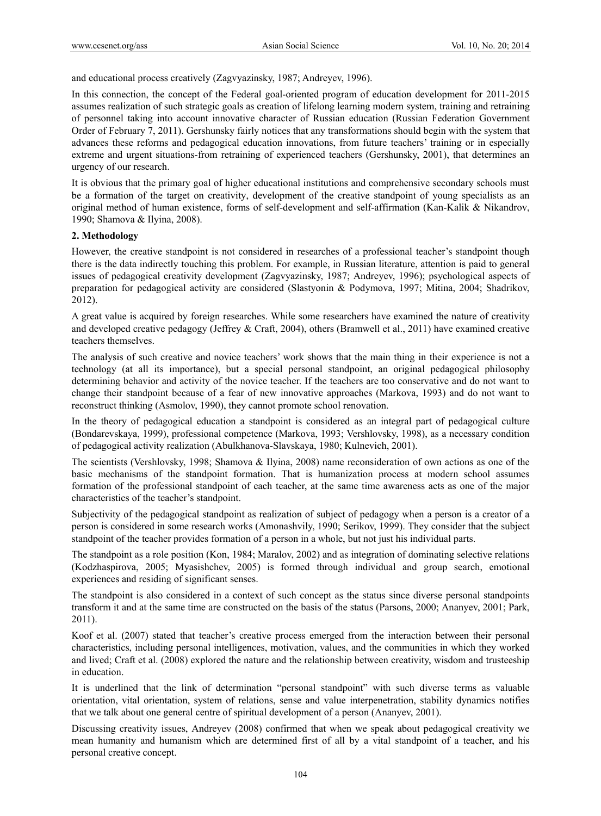and educational process creatively (Zagvyazinsky, 1987; Andreyev, 1996).

In this connection, the concept of the Federal goal-oriented program of education development for 2011-2015 assumes realization of such strategic goals as creation of lifelong learning modern system, training and retraining of personnel taking into account innovative character of Russian education (Russian Federation Government Order of February 7, 2011). Gershunsky fairly notices that any transformations should begin with the system that advances these reforms and pedagogical education innovations, from future teachers' training or in especially extreme and urgent situations-from retraining of experienced teachers (Gershunsky, 2001), that determines an urgency of our research.

It is obvious that the primary goal of higher educational institutions and comprehensive secondary schools must be a formation of the target on creativity, development of the creative standpoint of young specialists as an original method of human existence, forms of self-development and self-affirmation (Kan-Kalik & Nikandrov, 1990; Shamova & Ilyina, 2008).

#### **2. Methodology**

However, the creative standpoint is not considered in researches of a professional teacher's standpoint though there is the data indirectly touching this problem. For example, in Russian literature, attention is paid to general issues of pedagogical creativity development (Zagvyazinsky, 1987; Andreyev, 1996); psychological aspects of preparation for pedagogical activity are considered (Slastyonin & Podymova, 1997; Mitina, 2004; Shadrikov, 2012).

A great value is acquired by foreign researches. While some researchers have examined the nature of creativity and developed creative pedagogy (Jeffrey & Craft, 2004), others (Bramwell et al., 2011) have examined creative teachers themselves.

The analysis of such creative and novice teachers' work shows that the main thing in their experience is not a technology (at all its importance), but a special personal standpoint, an original pedagogical philosophy determining behavior and activity of the novice teacher. If the teachers are too conservative and do not want to change their standpoint because of a fear of new innovative approaches (Markova, 1993) and do not want to reconstruct thinking (Asmolov, 1990), they cannot promote school renovation.

In the theory of pedagogical education a standpoint is considered as an integral part of pedagogical culture (Bondarevskaya, 1999), professional competence (Markova, 1993; Vershlovsky, 1998), as a necessary condition of pedagogical activity realization (Abulkhanova-Slavskaya, 1980; Kulnevich, 2001).

The scientists (Vershlovsky, 1998; Shamova & Ilyina, 2008) name reconsideration of own actions as one of the basic mechanisms of the standpoint formation. That is humanization process at modern school assumes formation of the professional standpoint of each teacher, at the same time awareness acts as one of the major characteristics of the teacher's standpoint.

Subjectivity of the pedagogical standpoint as realization of subject of pedagogy when a person is a creator of a person is considered in some research works (Amonashvily, 1990; Serikov, 1999). They consider that the subject standpoint of the teacher provides formation of a person in a whole, but not just his individual parts.

The standpoint as a role position (Kon, 1984; Maralov, 2002) and as integration of dominating selective relations (Kodzhaspirova, 2005; Myasishchev, 2005) is formed through individual and group search, emotional experiences and residing of significant senses.

The standpoint is also considered in a context of such concept as the status since diverse personal standpoints transform it and at the same time are constructed on the basis of the status (Parsons, 2000; Ananyev, 2001; Park, 2011).

Koof et al. (2007) stated that teacher's creative process emerged from the interaction between their personal characteristics, including personal intelligences, motivation, values, and the communities in which they worked and lived; Craft et al. (2008) explored the nature and the relationship between creativity, wisdom and trusteeship in education.

It is underlined that the link of determination "personal standpoint" with such diverse terms as valuable orientation, vital orientation, system of relations, sense and value interpenetration, stability dynamics notifies that we talk about one general centre of spiritual development of a person (Ananyev, 2001).

Discussing creativity issues, Andreyev (2008) confirmed that when we speak about pedagogical creativity we mean humanity and humanism which are determined first of all by a vital standpoint of a teacher, and his personal creative concept.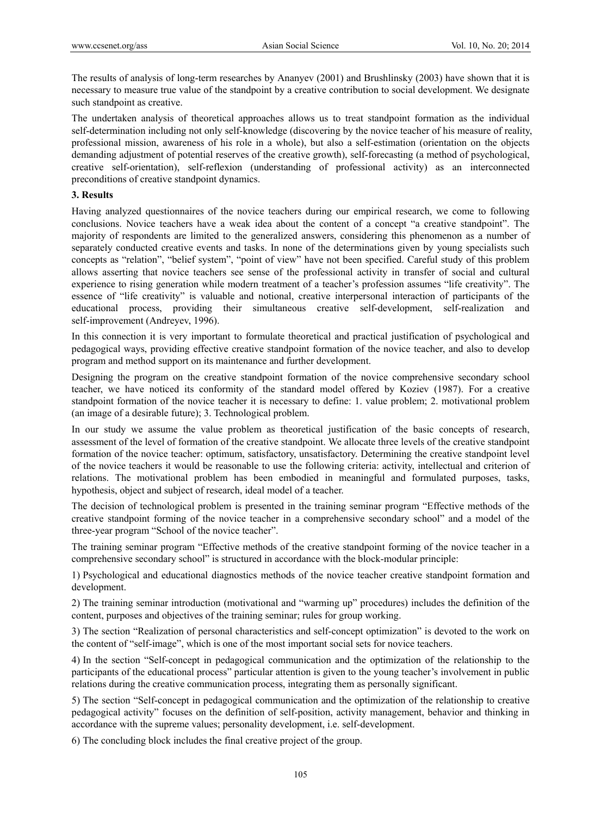The results of analysis of long-term researches by Ananyev (2001) and Brushlinsky (2003) have shown that it is necessary to measure true value of the standpoint by a creative contribution to social development. We designate such standpoint as creative.

The undertaken analysis of theoretical approaches allows us to treat standpoint formation as the individual self-determination including not only self-knowledge (discovering by the novice teacher of his measure of reality, professional mission, awareness of his role in a whole), but also a self-estimation (orientation on the objects demanding adjustment of potential reserves of the creative growth), self-forecasting (a method of psychological, creative self-orientation), self-reflexion (understanding of professional activity) as an interconnected preconditions of creative standpoint dynamics.

#### **3. Results**

Having analyzed questionnaires of the novice teachers during our empirical research, we come to following conclusions. Novice teachers have a weak idea about the content of a concept "a creative standpoint". The majority of respondents are limited to the generalized answers, considering this phenomenon as a number of separately conducted creative events and tasks. In none of the determinations given by young specialists such concepts as "relation", "belief system", "point of view" have not been specified. Careful study of this problem allows asserting that novice teachers see sense of the professional activity in transfer of social and cultural experience to rising generation while modern treatment of a teacher's profession assumes "life creativity". The essence of "life creativity" is valuable and notional, creative interpersonal interaction of participants of the educational process, providing their simultaneous creative self-development, self-realization and self-improvement (Andreyev, 1996).

In this connection it is very important to formulate theoretical and practical justification of psychological and pedagogical ways, providing effective creative standpoint formation of the novice teacher, and also to develop program and method support on its maintenance and further development.

Designing the program on the creative standpoint formation of the novice comprehensive secondary school teacher, we have noticed its conformity of the standard model offered by Koziev (1987). For a creative standpoint formation of the novice teacher it is necessary to define: 1. value problem; 2. motivational problem (an image of a desirable future); 3. Technological problem.

In our study we assume the value problem as theoretical justification of the basic concepts of research, assessment of the level of formation of the creative standpoint. We allocate three levels of the creative standpoint formation of the novice teacher: optimum, satisfactory, unsatisfactory. Determining the creative standpoint level of the novice teachers it would be reasonable to use the following criteria: activity, intellectual and criterion of relations. The motivational problem has been embodied in meaningful and formulated purposes, tasks, hypothesis, object and subject of research, ideal model of a teacher.

The decision of technological problem is presented in the training seminar program "Effective methods of the creative standpoint forming of the novice teacher in a comprehensive secondary school" and a model of the three-year program "School of the novice teacher".

The training seminar program "Effective methods of the creative standpoint forming of the novice teacher in a comprehensive secondary school" is structured in accordance with the block-modular principle:

1) Psychological and educational diagnostics methods of the novice teacher creative standpoint formation and development.

2) The training seminar introduction (motivational and "warming up" procedures) includes the definition of the content, purposes and objectives of the training seminar; rules for group working.

3) The section "Realization of personal characteristics and self-concept optimization" is devoted to the work on the content of "self-image", which is one of the most important social sets for novice teachers.

4) In the section "Self-concept in pedagogical communication and the optimization of the relationship to the participants of the educational process" particular attention is given to the young teacher's involvement in public relations during the creative communication process, integrating them as personally significant.

5) The section "Self-concept in pedagogical communication and the optimization of the relationship to creative pedagogical activity" focuses on the definition of self-position, activity management, behavior and thinking in accordance with the supreme values; personality development, i.e. self-development.

6) The concluding block includes the final creative project of the group.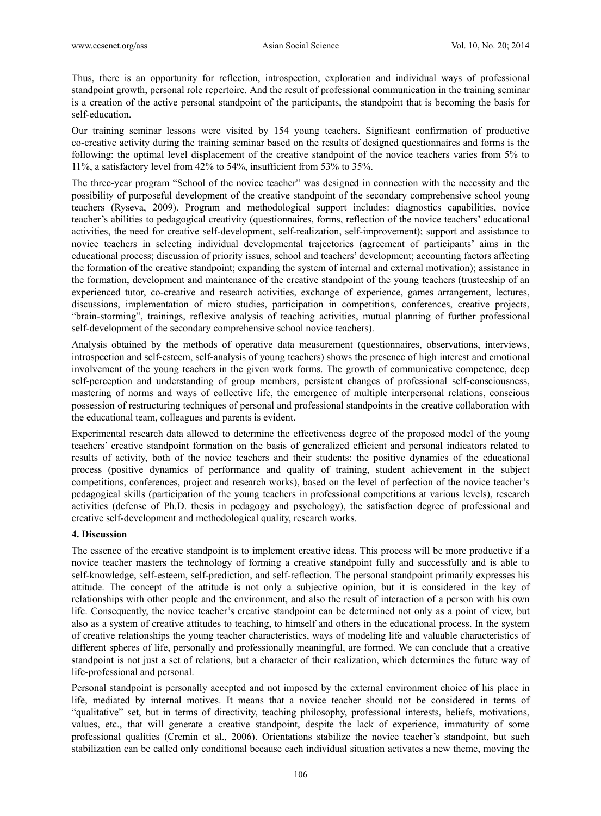Thus, there is an opportunity for reflection, introspection, exploration and individual ways of professional standpoint growth, personal role repertoire. And the result of professional communication in the training seminar is a creation of the active personal standpoint of the participants, the standpoint that is becoming the basis for self-education.

Our training seminar lessons were visited by 154 young teachers. Significant confirmation of productive co-creative activity during the training seminar based on the results of designed questionnaires and forms is the following: the optimal level displacement of the creative standpoint of the novice teachers varies from 5% to 11%, a satisfactory level from 42% to 54%, insufficient from 53% to 35%.

The three-year program "School of the novice teacher" was designed in connection with the necessity and the possibility of purposeful development of the creative standpoint of the secondary comprehensive school young teachers (Ryseva, 2009). Program and methodological support includes: diagnostics capabilities, novice teacher's abilities to pedagogical creativity (questionnaires, forms, reflection of the novice teachers' educational activities, the need for creative self-development, self-realization, self-improvement); support and assistance to novice teachers in selecting individual developmental trajectories (agreement of participants' aims in the educational process; discussion of priority issues, school and teachers' development; accounting factors affecting the formation of the creative standpoint; expanding the system of internal and external motivation); assistance in the formation, development and maintenance of the creative standpoint of the young teachers (trusteeship of an experienced tutor, co-creative and research activities, exchange of experience, games arrangement, lectures, discussions, implementation of micro studies, participation in competitions, conferences, creative projects, "brain-storming", trainings, reflexive analysis of teaching activities, mutual planning of further professional self-development of the secondary comprehensive school novice teachers).

Analysis obtained by the methods of operative data measurement (questionnaires, observations, interviews, introspection and self-esteem, self-analysis of young teachers) shows the presence of high interest and emotional involvement of the young teachers in the given work forms. The growth of communicative competence, deep self-perception and understanding of group members, persistent changes of professional self-consciousness, mastering of norms and ways of collective life, the emergence of multiple interpersonal relations, conscious possession of restructuring techniques of personal and professional standpoints in the creative collaboration with the educational team, colleagues and parents is evident.

Experimental research data allowed to determine the effectiveness degree of the proposed model of the young teachers' creative standpoint formation on the basis of generalized efficient and personal indicators related to results of activity, both of the novice teachers and their students: the positive dynamics of the educational process (positive dynamics of performance and quality of training, student achievement in the subject competitions, conferences, project and research works), based on the level of perfection of the novice teacher's pedagogical skills (participation of the young teachers in professional competitions at various levels), research activities (defense of Ph.D. thesis in pedagogy and psychology), the satisfaction degree of professional and creative self-development and methodological quality, research works.

## **4. Discussion**

The essence of the creative standpoint is to implement creative ideas. This process will be more productive if a novice teacher masters the technology of forming a creative standpoint fully and successfully and is able to self-knowledge, self-esteem, self-prediction, and self-reflection. The personal standpoint primarily expresses his attitude. The concept of the attitude is not only a subjective opinion, but it is considered in the key of relationships with other people and the environment, and also the result of interaction of a person with his own life. Consequently, the novice teacher's creative standpoint can be determined not only as a point of view, but also as a system of creative attitudes to teaching, to himself and others in the educational process. In the system of creative relationships the young teacher characteristics, ways of modeling life and valuable characteristics of different spheres of life, personally and professionally meaningful, are formed. We can conclude that a creative standpoint is not just a set of relations, but a character of their realization, which determines the future way of life-professional and personal.

Personal standpoint is personally accepted and not imposed by the external environment choice of his place in life, mediated by internal motives. It means that a novice teacher should not be considered in terms of "qualitative" set, but in terms of directivity, teaching philosophy, professional interests, beliefs, motivations, values, etc., that will generate a creative standpoint, despite the lack of experience, immaturity of some professional qualities (Cremin et al., 2006). Orientations stabilize the novice teacher's standpoint, but such stabilization can be called only conditional because each individual situation activates a new theme, moving the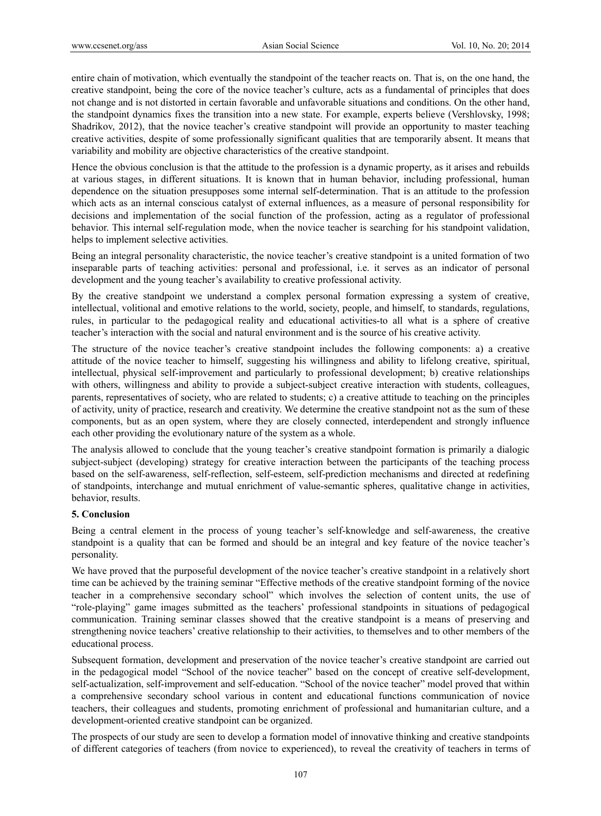entire chain of motivation, which eventually the standpoint of the teacher reacts on. That is, on the one hand, the creative standpoint, being the core of the novice teacher's culture, acts as a fundamental of principles that does not change and is not distorted in certain favorable and unfavorable situations and conditions. On the other hand, the standpoint dynamics fixes the transition into a new state. For example, experts believe (Vershlovsky, 1998; Shadrikov, 2012), that the novice teacher's creative standpoint will provide an opportunity to master teaching creative activities, despite of some professionally significant qualities that are temporarily absent. It means that variability and mobility are objective characteristics of the creative standpoint.

Hence the obvious conclusion is that the attitude to the profession is a dynamic property, as it arises and rebuilds at various stages, in different situations. It is known that in human behavior, including professional, human dependence on the situation presupposes some internal self-determination. That is an attitude to the profession which acts as an internal conscious catalyst of external influences, as a measure of personal responsibility for decisions and implementation of the social function of the profession, acting as a regulator of professional behavior. This internal self-regulation mode, when the novice teacher is searching for his standpoint validation, helps to implement selective activities.

Being an integral personality characteristic, the novice teacher's creative standpoint is a united formation of two inseparable parts of teaching activities: personal and professional, i.e. it serves as an indicator of personal development and the young teacher's availability to creative professional activity.

By the creative standpoint we understand a complex personal formation expressing a system of creative, intellectual, volitional and emotive relations to the world, society, people, and himself, to standards, regulations, rules, in particular to the pedagogical reality and educational activities-to all what is a sphere of creative teacher's interaction with the social and natural environment and is the source of his creative activity.

The structure of the novice teacher's creative standpoint includes the following components: a) a creative attitude of the novice teacher to himself, suggesting his willingness and ability to lifelong creative, spiritual, intellectual, physical self-improvement and particularly to professional development; b) creative relationships with others, willingness and ability to provide a subject-subject creative interaction with students, colleagues, parents, representatives of society, who are related to students; c) a creative attitude to teaching on the principles of activity, unity of practice, research and creativity. We determine the creative standpoint not as the sum of these components, but as an open system, where they are closely connected, interdependent and strongly influence each other providing the evolutionary nature of the system as a whole.

The analysis allowed to conclude that the young teacher's creative standpoint formation is primarily a dialogic subject-subject (developing) strategy for creative interaction between the participants of the teaching process based on the self-awareness, self-reflection, self-esteem, self-prediction mechanisms and directed at redefining of standpoints, interchange and mutual enrichment of value-semantic spheres, qualitative change in activities, behavior, results.

## **5. Conclusion**

Being a central element in the process of young teacher's self-knowledge and self-awareness, the creative standpoint is a quality that can be formed and should be an integral and key feature of the novice teacher's personality.

We have proved that the purposeful development of the novice teacher's creative standpoint in a relatively short time can be achieved by the training seminar "Effective methods of the creative standpoint forming of the novice teacher in a comprehensive secondary school" which involves the selection of content units, the use of "role-playing" game images submitted as the teachers' professional standpoints in situations of pedagogical communication. Training seminar classes showed that the creative standpoint is a means of preserving and strengthening novice teachers' creative relationship to their activities, to themselves and to other members of the educational process.

Subsequent formation, development and preservation of the novice teacher's creative standpoint are carried out in the pedagogical model "School of the novice teacher" based on the concept of creative self-development, self-actualization, self-improvement and self-education. "School of the novice teacher" model proved that within a comprehensive secondary school various in content and educational functions communication of novice teachers, their colleagues and students, promoting enrichment of professional and humanitarian culture, and a development-oriented creative standpoint can be organized.

The prospects of our study are seen to develop a formation model of innovative thinking and creative standpoints of different categories of teachers (from novice to experienced), to reveal the creativity of teachers in terms of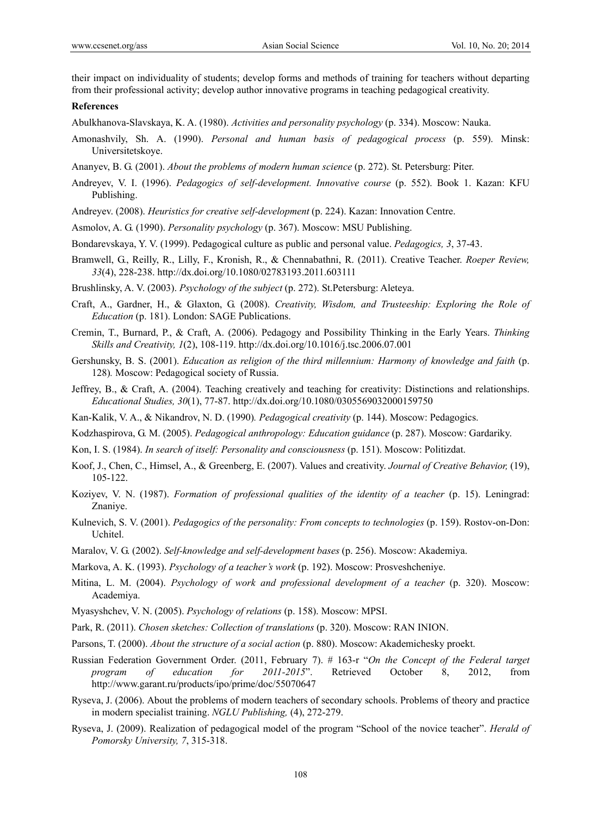their impact on individuality of students; develop forms and methods of training for teachers without departing from their professional activity; develop author innovative programs in teaching pedagogical creativity.

#### **References**

Abulkhanova-Slavskaya, K. A. (1980). *Activities and personality psychology* (p. 334). Moscow: Nauka.

- Amonashvily, Sh. A. (1990). *Personal and human basis of pedagogical process* (p. 559). Minsk: Universitetskoye.
- Ananyev, B. G. (2001). *About the problems of modern human science* (p. 272). St. Petersburg: Piter.
- Andreyev, V. I. (1996). *Pedagogics of self-development. Innovative course* (p. 552). Book 1. Kazan: KFU Publishing.
- Andreyev. (2008). *Heuristics for creative self-development* (p. 224). Kazan: Innovation Centre.
- Asmolov, A. G. (1990). *Personality psychology* (p. 367). Moscow: MSU Publishing.
- Bondarevskaya, Y. V. (1999). Pedagogical culture as public and personal value. *Pedagogics, 3*, 37-43.
- Bramwell, G., Reilly, R., Lilly, F., Kronish, R., & Chennabathni, R. (2011). Creative Teacher. *Roeper Review, 33*(4), 228-238. http://dx.doi.org/10.1080/02783193.2011.603111
- Brushlinsky, A. V. (2003). *Psychology of the subject* (p. 272). St.Petersburg: Aleteya.
- Craft, A., Gardner, H., & Glaxton, G. (2008). *Creativity, Wisdom, and Trusteeship: Exploring the Role of Education* (p. 181). London: SAGE Publications.
- Cremin, T., Burnard, P., & Craft, A. (2006). Pedagogy and Possibility Thinking in the Early Years. *Thinking Skills and Creativity, 1*(2), 108-119. http://dx.doi.org/10.1016/j.tsc.2006.07.001
- Gershunsky, B. S. (2001). *Education as religion of the third millennium: Harmony of knowledge and faith* (p. 128)*.* Moscow: Pedagogical society of Russia.
- Jeffrey, B., & Craft, A. (2004). Teaching creatively and teaching for creativity: Distinctions and relationships. *Educational Studies, 30*(1), 77-87. http://dx.doi.org/10.1080/0305569032000159750
- Kan-Kalik, V. A., & Nikandrov, N. D. (1990)*. Pedagogical creativity* (p. 144). Moscow: Pedagogics.
- Kodzhaspirova, G. M. (2005). *Pedagogical anthropology: Education guidance* (p. 287). Moscow: Gardariky.
- Kon, I. S. (1984). *In search of itself: Personality and consciousness* (p. 151). Moscow: Politizdat.
- Koof, J., Chen, C., Himsel, A., & Greenberg, E. (2007). Values and creativity. *Journal of Creative Behavior,* (19), 105-122.
- Koziyev, V. N. (1987). *Formation of professional qualities of the identity of a teacher* (p. 15). Leningrad: Znaniye.
- Kulnevich, S. V. (2001). *Pedagogics of the personality: From concepts to technologies* (p. 159). Rostov-on-Don: Uchitel.
- Maralov, V. G. (2002). *Self-knowledge and self-development bases* (p. 256). Moscow: Akademiya.
- Markova, A. K. (1993). *Psychology of a teacher's work* (p. 192). Moscow: Prosveshcheniye.
- Mitina, L. M. (2004). *Psychology of work and professional development of a teacher* (p. 320). Moscow: Academiya.
- Myasyshchev, V. N. (2005). *Psychology of relations* (p. 158). Moscow: MPSI.
- Park, R. (2011). *Chosen sketches: Collection of translations* (p. 320). Moscow: RAN INION.
- Parsons, T. (2000). *About the structure of a social action* (p. 880). Moscow: Akademichesky proekt.
- Russian Federation Government Order. (2011, February 7). # 163-r "*On the Concept of the Federal target program of education for 2011-2015*". Retrieved October 8, 2012, from http://www.garant.ru/products/ipo/prime/doc/55070647
- Ryseva, J. (2006). About the problems of modern teachers of secondary schools. Problems of theory and practice in modern specialist training. *NGLU Publishing,* (4), 272-279.
- Ryseva, J. (2009). Realization of pedagogical model of the program "School of the novice teacher". *Herald of Pomorsky University, 7*, 315-318.